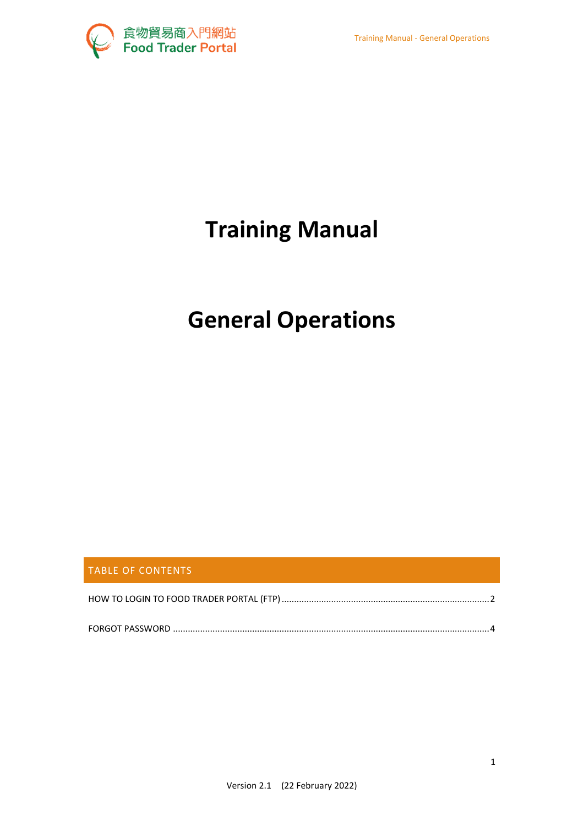

# **Training Manual**

# **General Operations**

| <b>TABLE OF CONTENTS</b> |
|--------------------------|
|                          |
|                          |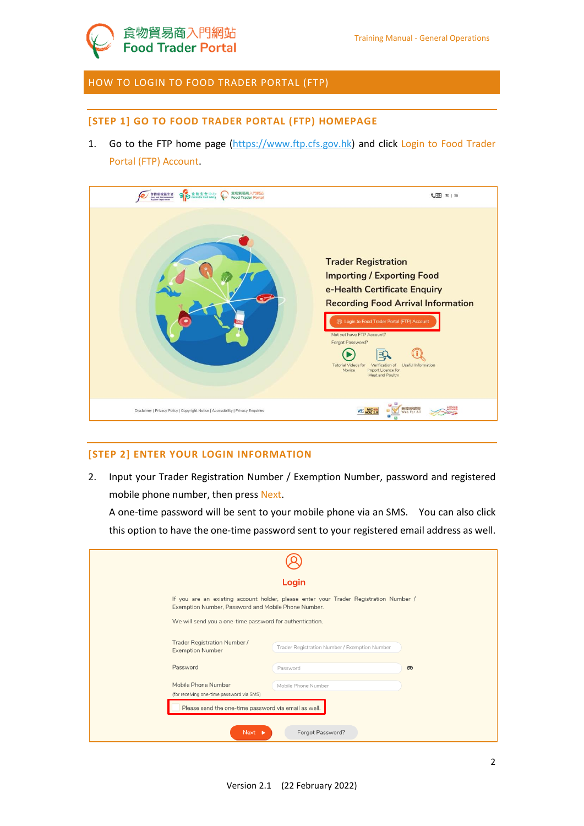

## <span id="page-1-0"></span>HOW TO LOGIN TO FOOD TRADER PORTAL (FTP)

#### **[STEP 1] GO TO FOOD TRADER PORTAL (FTP) HOMEPAGE**

1. Go to the FTP home page [\(https://www.ftp.cfs.gov.hk\)](https://www.ftp.cfs.gov.hk/) and click Login to Food Trader Portal (FTP) Account.

| <b>GIS BENE DE LA CONTROL</b><br>食物貿易商入門網站<br>食物環境衛生署<br>Food and Environmental<br><b>Food Trader Portal</b><br>school Department | (图 至 1 简                                                                                                                                                                                                                                                                                                                                                                       |
|-----------------------------------------------------------------------------------------------------------------------------------|--------------------------------------------------------------------------------------------------------------------------------------------------------------------------------------------------------------------------------------------------------------------------------------------------------------------------------------------------------------------------------|
|                                                                                                                                   | <b>Trader Registration</b><br><b>Importing / Exporting Food</b><br>e-Health Certificate Enquiry<br><b>Recording Food Arrival Information</b><br>2 Login to Food Trader Portal (FTP) Account<br>Not yet have FTP Account?<br>Forgot Password?<br><b>Tutorial Videos for</b><br>Verification of<br><b>Useful Information</b><br>Import Licence for<br>Novice<br>Meat and Poultry |
| Disclaimer   Privacy Policy   Copyright Notice   Accessibility   Privacy Enquiries                                                | WSC WAI-AA<br>Vab For A                                                                                                                                                                                                                                                                                                                                                        |

#### **[STEP 2] ENTER YOUR LOGIN INFORMATION**

2. Input your Trader Registration Number / Exemption Number, password and registered mobile phone number, then press Next.

A one-time password will be sent to your mobile phone via an SMS. You can also click this option to have the one-time password sent to your registered email address as well.

|                                                                  | Login                                                                                 |
|------------------------------------------------------------------|---------------------------------------------------------------------------------------|
| Exemption Number, Password and Mobile Phone Number.              | If you are an existing account holder, please enter your Trader Registration Number / |
| We will send you a one-time password for authentication.         |                                                                                       |
| Trader Registration Number /<br><b>Exemption Number</b>          | Trader Registration Number / Exemption Number                                         |
| Password                                                         | $\circ$<br>Password                                                                   |
| Mobile Phone Number<br>(for receiving one-time password via SMS) | Mobile Phone Number                                                                   |
| Please send the one-time password via email as well.             |                                                                                       |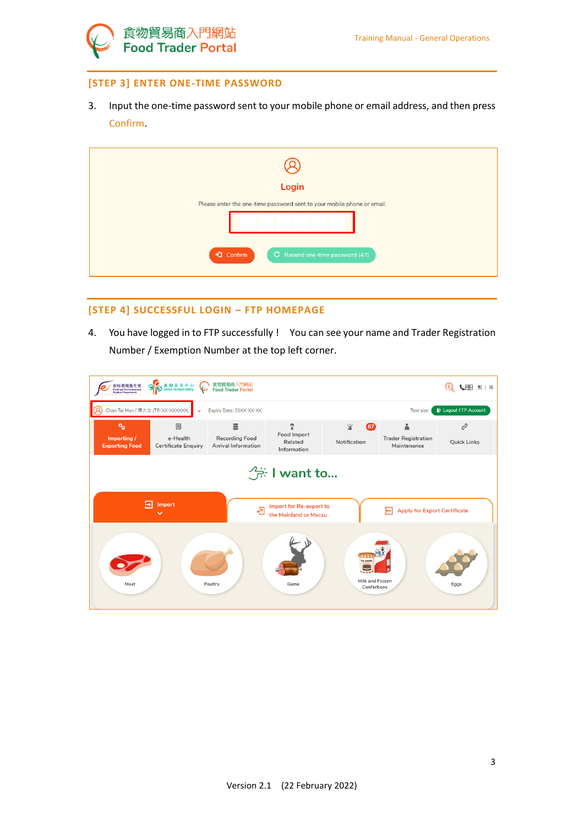

## **[STEP 3] ENTER ONE-TIME PASSWORD**

3. Input the one-time password sent to your mobile phone or email address, and then press Confirm.

| Login                                                                  |
|------------------------------------------------------------------------|
| Please enter the one-time password sent to your mobile phone or email. |
| • Confirm<br>$\sigma$ Resend one-time password (47)                    |

# **[STEP 4] SUCCESSFUL LOGIN – FTP HOMEPAGE**

4. You have logged in to FTP successfully ! You can see your name and Trader Registration Number / Exemption Number at the top left corner.

| 食物環境衛生署<br>Food and Environmental<br><b>Hygiene Department</b> | S centre for Food Safety                            | 食物貿易商入門網站<br><b>Food Trader Portal</b>                   |                                                          |                                                                 |                                                | (i) (图 至 ) 简                         |
|----------------------------------------------------------------|-----------------------------------------------------|----------------------------------------------------------|----------------------------------------------------------|-----------------------------------------------------------------|------------------------------------------------|--------------------------------------|
| $\circledR$<br>Chan Tai Man / 陳大文 (TR-XX-XXXXXX)               | $\checkmark$                                        | Expiry Date: 20XX-XX-XX                                  |                                                          |                                                                 | <b>Text size</b>                               | <b>E</b> Logout FTP Account          |
| $o_{\alpha}$<br>Importing /<br><b>Exporting Food</b>           | <b>IE</b><br>e-Health<br><b>Certificate Enquiry</b> | 昌<br><b>Recording Food</b><br><b>Arrival Information</b> | Ť<br><b>Food Import</b><br><b>Related</b><br>Information | 室<br>$\mathbf{G}$<br><b>Notification</b>                        | å<br><b>Trader Registration</b><br>Maintenance | c <sup>2</sup><br><b>Quick Links</b> |
|                                                                |                                                     |                                                          | $\frac{1}{2}$ : I want to                                |                                                                 |                                                |                                      |
|                                                                | Import                                              | ච                                                        | Import for Re-export to<br>the Mainland or Macau         |                                                                 | <b>Apply for Export Certificate</b><br>⊁       |                                      |
| Meat                                                           |                                                     | Poultry                                                  | Game                                                     | атп<br>ce cream<br><b>Milk and Frozen</b><br><b>Confections</b> |                                                | <b>Eggs</b>                          |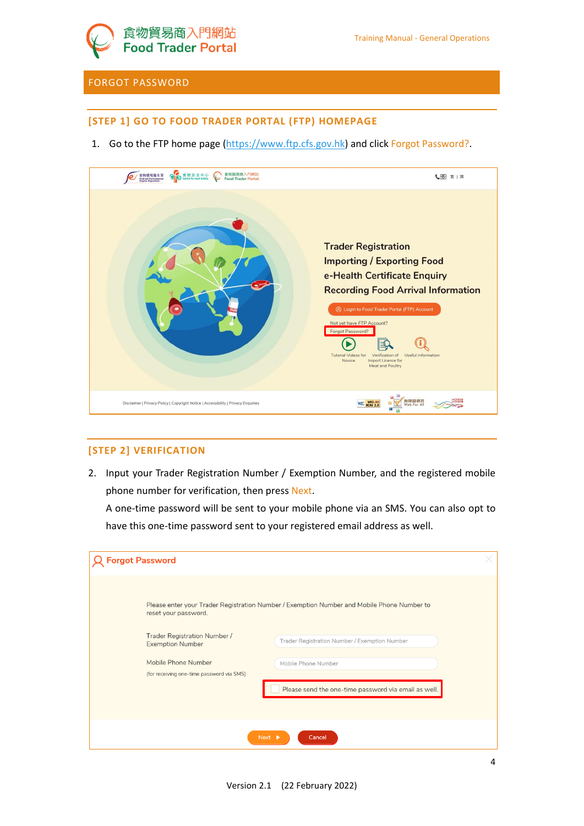

# <span id="page-3-0"></span>FORGOT PASSWORD

## **[STEP 1] GO TO FOOD TRADER PORTAL (FTP) HOMEPAGE**

1. Go to the FTP home page [\(https://www.ftp.cfs.gov.hk\)](https://www.ftp.cfs.gov.hk/) and click Forgot Password?.



## **[STEP 2] VERIFICATION**

2. Input your Trader Registration Number / Exemption Number, and the registered mobile phone number for verification, then press Next.

A one-time password will be sent to your mobile phone via an SMS. You can also opt to have this one-time password sent to your registered email address as well.

| <b>Forgot Password</b>                                                                                                                                                                                                                                                                                                                                                            |  |
|-----------------------------------------------------------------------------------------------------------------------------------------------------------------------------------------------------------------------------------------------------------------------------------------------------------------------------------------------------------------------------------|--|
| Please enter your Trader Registration Number / Exemption Number and Mobile Phone Number to<br>reset your password.<br>Trader Registration Number /<br>Trader Registration Number / Exemption Number<br><b>Exemption Number</b><br>Mobile Phone Number<br>Mobile Phone Number<br>(for receiving one-time password via SMS)<br>Please send the one-time password via email as well. |  |
|                                                                                                                                                                                                                                                                                                                                                                                   |  |
| $Next$ $\triangleright$<br>Cancel                                                                                                                                                                                                                                                                                                                                                 |  |